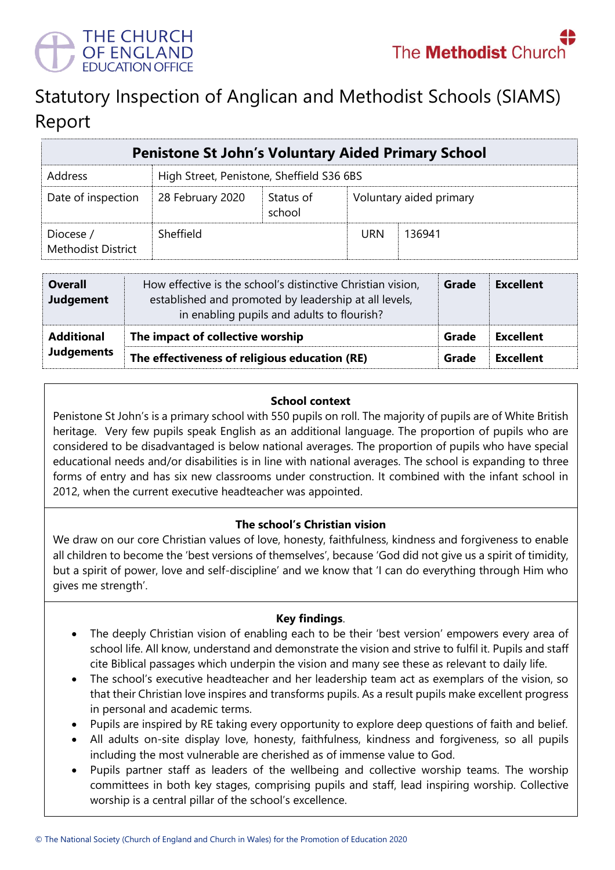

# Statutory Inspection of Anglican and Methodist Schools (SIAMS) Report

| <b>Penistone St John's Voluntary Aided Primary School</b> |                                           |                     |                         |        |  |  |
|-----------------------------------------------------------|-------------------------------------------|---------------------|-------------------------|--------|--|--|
| Address                                                   | High Street, Penistone, Sheffield S36 6BS |                     |                         |        |  |  |
| Date of inspection                                        | 28 February 2020                          | Status of<br>school | Voluntary aided primary |        |  |  |
| Diocese /<br><b>Methodist District</b>                    | Sheffield                                 |                     | <b>URN</b>              | 136941 |  |  |

| <b>Overall</b><br><b>Judgement</b> | How effective is the school's distinctive Christian vision,<br>established and promoted by leadership at all levels,<br>in enabling pupils and adults to flourish? | Grade | <b>Excellent</b> |
|------------------------------------|--------------------------------------------------------------------------------------------------------------------------------------------------------------------|-------|------------------|
| <b>Additional</b>                  | The impact of collective worship                                                                                                                                   | Grade | <b>Excellent</b> |
| <b>Judgements</b>                  | The effectiveness of religious education (RE)                                                                                                                      |       | <b>Excellent</b> |

#### **School context**

Penistone St John's is a primary school with 550 pupils on roll. The majority of pupils are of White British heritage. Very few pupils speak English as an additional language. The proportion of pupils who are considered to be disadvantaged is below national averages. The proportion of pupils who have special educational needs and/or disabilities is in line with national averages. The school is expanding to three forms of entry and has six new classrooms under construction. It combined with the infant school in 2012, when the current executive headteacher was appointed.

# **The school's Christian vision**

We draw on our core Christian values of love, honesty, faithfulness, kindness and forgiveness to enable all children to become the 'best versions of themselves', because 'God did not give us a spirit of timidity, but a spirit of power, love and self-discipline' and we know that 'I can do everything through Him who gives me strength'.

# **Key findings**.

- The deeply Christian vision of enabling each to be their 'best version' empowers every area of school life. All know, understand and demonstrate the vision and strive to fulfil it. Pupils and staff cite Biblical passages which underpin the vision and many see these as relevant to daily life.
- The school's executive headteacher and her leadership team act as exemplars of the vision, so that their Christian love inspires and transforms pupils. As a result pupils make excellent progress in personal and academic terms.
- Pupils are inspired by RE taking every opportunity to explore deep questions of faith and belief.
- All adults on-site display love, honesty, faithfulness, kindness and forgiveness, so all pupils including the most vulnerable are cherished as of immense value to God.
- Pupils partner staff as leaders of the wellbeing and collective worship teams. The worship committees in both key stages, comprising pupils and staff, lead inspiring worship. Collective worship is a central pillar of the school's excellence.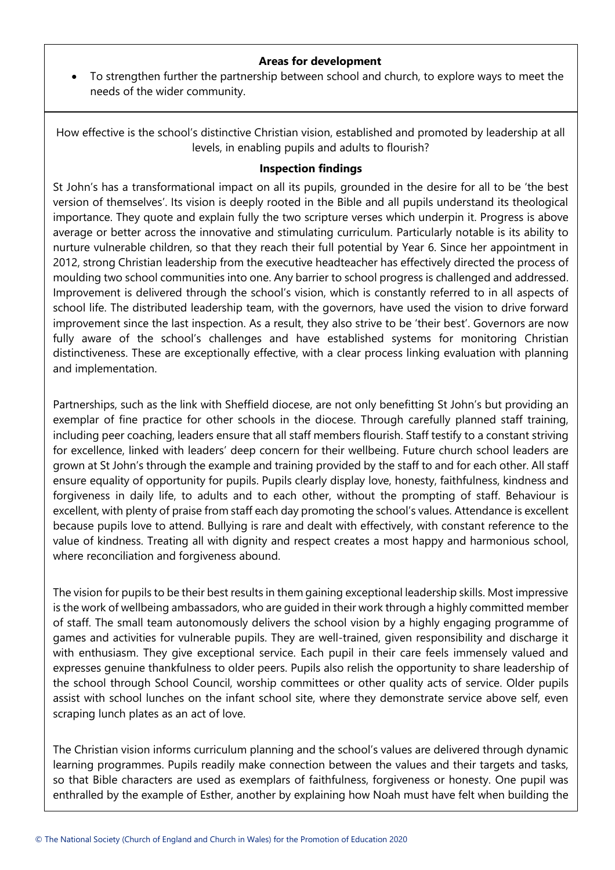#### **Areas for development**

 To strengthen further the partnership between school and church, to explore ways to meet the needs of the wider community.

How effective is the school's distinctive Christian vision, established and promoted by leadership at all levels, in enabling pupils and adults to flourish?

#### **Inspection findings**

St John's has a transformational impact on all its pupils, grounded in the desire for all to be 'the best version of themselves'. Its vision is deeply rooted in the Bible and all pupils understand its theological importance. They quote and explain fully the two scripture verses which underpin it. Progress is above average or better across the innovative and stimulating curriculum. Particularly notable is its ability to nurture vulnerable children, so that they reach their full potential by Year 6. Since her appointment in 2012, strong Christian leadership from the executive headteacher has effectively directed the process of moulding two school communities into one. Any barrier to school progress is challenged and addressed. Improvement is delivered through the school's vision, which is constantly referred to in all aspects of school life. The distributed leadership team, with the governors, have used the vision to drive forward improvement since the last inspection. As a result, they also strive to be 'their best'. Governors are now fully aware of the school's challenges and have established systems for monitoring Christian distinctiveness. These are exceptionally effective, with a clear process linking evaluation with planning and implementation.

Partnerships, such as the link with Sheffield diocese, are not only benefitting St John's but providing an exemplar of fine practice for other schools in the diocese. Through carefully planned staff training, including peer coaching, leaders ensure that all staff members flourish. Staff testify to a constant striving for excellence, linked with leaders' deep concern for their wellbeing. Future church school leaders are grown at St John's through the example and training provided by the staff to and for each other. All staff ensure equality of opportunity for pupils. Pupils clearly display love, honesty, faithfulness, kindness and forgiveness in daily life, to adults and to each other, without the prompting of staff. Behaviour is excellent, with plenty of praise from staff each day promoting the school's values. Attendance is excellent because pupils love to attend. Bullying is rare and dealt with effectively, with constant reference to the value of kindness. Treating all with dignity and respect creates a most happy and harmonious school, where reconciliation and forgiveness abound.

The vision for pupils to be their best results in them gaining exceptional leadership skills. Most impressive is the work of wellbeing ambassadors, who are guided in their work through a highly committed member of staff. The small team autonomously delivers the school vision by a highly engaging programme of games and activities for vulnerable pupils. They are well-trained, given responsibility and discharge it with enthusiasm. They give exceptional service. Each pupil in their care feels immensely valued and expresses genuine thankfulness to older peers. Pupils also relish the opportunity to share leadership of the school through School Council, worship committees or other quality acts of service. Older pupils assist with school lunches on the infant school site, where they demonstrate service above self, even scraping lunch plates as an act of love.

The Christian vision informs curriculum planning and the school's values are delivered through dynamic learning programmes. Pupils readily make connection between the values and their targets and tasks, so that Bible characters are used as exemplars of faithfulness, forgiveness or honesty. One pupil was enthralled by the example of Esther, another by explaining how Noah must have felt when building the